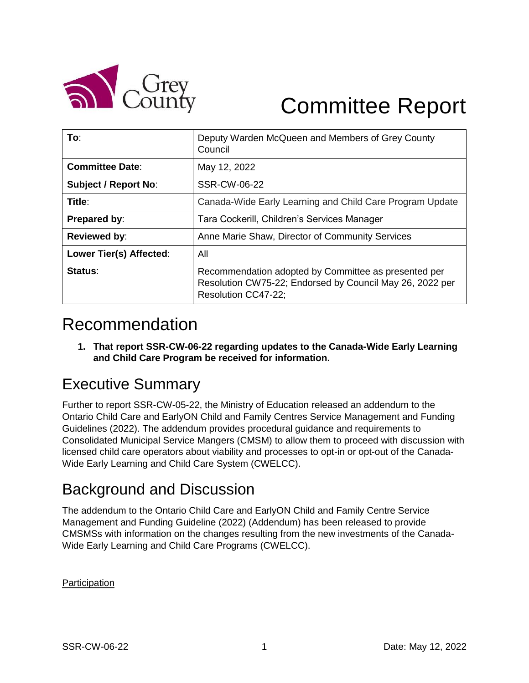

# Committee Report

| To:                         | Deputy Warden McQueen and Members of Grey County<br>Council                                                                             |
|-----------------------------|-----------------------------------------------------------------------------------------------------------------------------------------|
| <b>Committee Date:</b>      | May 12, 2022                                                                                                                            |
| <b>Subject / Report No:</b> | SSR-CW-06-22                                                                                                                            |
| Title:                      | Canada-Wide Early Learning and Child Care Program Update                                                                                |
| Prepared by:                | Tara Cockerill, Children's Services Manager                                                                                             |
| <b>Reviewed by:</b>         | Anne Marie Shaw, Director of Community Services                                                                                         |
| Lower Tier(s) Affected:     | All                                                                                                                                     |
| Status:                     | Recommendation adopted by Committee as presented per<br>Resolution CW75-22; Endorsed by Council May 26, 2022 per<br>Resolution CC47-22; |

# Recommendation

**1. That report SSR-CW-06-22 regarding updates to the Canada-Wide Early Learning and Child Care Program be received for information.**

# Executive Summary

Further to report SSR-CW-05-22, the Ministry of Education released an addendum to the Ontario Child Care and EarlyON Child and Family Centres Service Management and Funding Guidelines (2022). The addendum provides procedural guidance and requirements to Consolidated Municipal Service Mangers (CMSM) to allow them to proceed with discussion with licensed child care operators about viability and processes to opt-in or opt-out of the Canada-Wide Early Learning and Child Care System (CWELCC).

# Background and Discussion

The addendum to the Ontario Child Care and EarlyON Child and Family Centre Service Management and Funding Guideline (2022) (Addendum) has been released to provide CMSMSs with information on the changes resulting from the new investments of the Canada-Wide Early Learning and Child Care Programs (CWELCC).

**Participation**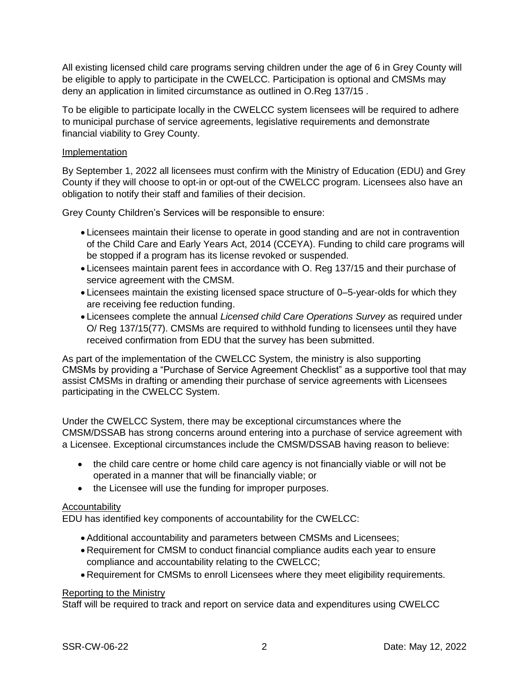All existing licensed child care programs serving children under the age of 6 in Grey County will be eligible to apply to participate in the CWELCC. Participation is optional and CMSMs may deny an application in limited circumstance as outlined in O.Reg 137/15 .

To be eligible to participate locally in the CWELCC system licensees will be required to adhere to municipal purchase of service agreements, legislative requirements and demonstrate financial viability to Grey County.

#### Implementation

By September 1, 2022 all licensees must confirm with the Ministry of Education (EDU) and Grey County if they will choose to opt-in or opt-out of the CWELCC program. Licensees also have an obligation to notify their staff and families of their decision.

Grey County Children's Services will be responsible to ensure:

- Licensees maintain their license to operate in good standing and are not in contravention of the Child Care and Early Years Act, 2014 (CCEYA). Funding to child care programs will be stopped if a program has its license revoked or suspended.
- Licensees maintain parent fees in accordance with O. Reg 137/15 and their purchase of service agreement with the CMSM.
- Licensees maintain the existing licensed space structure of 0–5-year-olds for which they are receiving fee reduction funding.
- Licensees complete the annual *Licensed child Care Operations Survey* as required under O/ Reg 137/15(77). CMSMs are required to withhold funding to licensees until they have received confirmation from EDU that the survey has been submitted.

As part of the implementation of the CWELCC System, the ministry is also supporting CMSMs by providing a "Purchase of Service Agreement Checklist" as a supportive tool that may assist CMSMs in drafting or amending their purchase of service agreements with Licensees participating in the CWELCC System.

Under the CWELCC System, there may be exceptional circumstances where the CMSM/DSSAB has strong concerns around entering into a purchase of service agreement with a Licensee. Exceptional circumstances include the CMSM/DSSAB having reason to believe:

- the child care centre or home child care agency is not financially viable or will not be operated in a manner that will be financially viable; or
- the Licensee will use the funding for improper purposes.

#### Accountability

EDU has identified key components of accountability for the CWELCC:

- Additional accountability and parameters between CMSMs and Licensees;
- Requirement for CMSM to conduct financial compliance audits each year to ensure compliance and accountability relating to the CWELCC;
- Requirement for CMSMs to enroll Licensees where they meet eligibility requirements.

#### Reporting to the Ministry

Staff will be required to track and report on service data and expenditures using CWELCC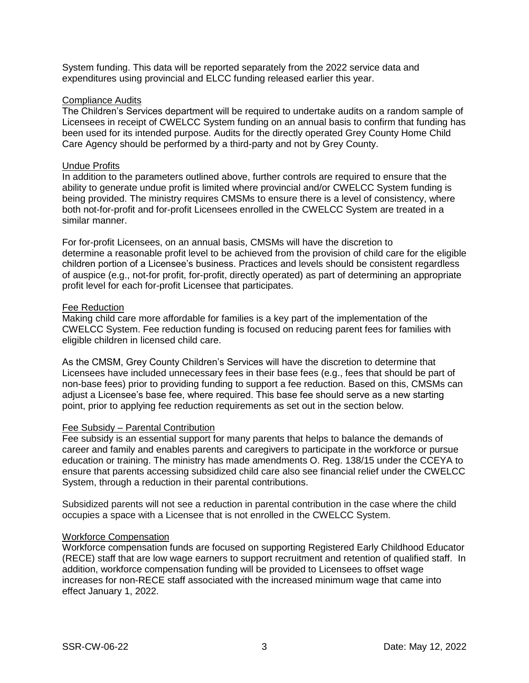System funding. This data will be reported separately from the 2022 service data and expenditures using provincial and ELCC funding released earlier this year.

#### Compliance Audits

The Children's Services department will be required to undertake audits on a random sample of Licensees in receipt of CWELCC System funding on an annual basis to confirm that funding has been used for its intended purpose. Audits for the directly operated Grey County Home Child Care Agency should be performed by a third-party and not by Grey County.

#### Undue Profits

In addition to the parameters outlined above, further controls are required to ensure that the ability to generate undue profit is limited where provincial and/or CWELCC System funding is being provided. The ministry requires CMSMs to ensure there is a level of consistency, where both not-for-profit and for-profit Licensees enrolled in the CWELCC System are treated in a similar manner.

For for-profit Licensees, on an annual basis, CMSMs will have the discretion to determine a reasonable profit level to be achieved from the provision of child care for the eligible children portion of a Licensee's business. Practices and levels should be consistent regardless of auspice (e.g., not-for profit, for-profit, directly operated) as part of determining an appropriate profit level for each for-profit Licensee that participates.

#### Fee Reduction

Making child care more affordable for families is a key part of the implementation of the CWELCC System. Fee reduction funding is focused on reducing parent fees for families with eligible children in licensed child care.

As the CMSM, Grey County Children's Services will have the discretion to determine that Licensees have included unnecessary fees in their base fees (e.g., fees that should be part of non-base fees) prior to providing funding to support a fee reduction. Based on this, CMSMs can adjust a Licensee's base fee, where required. This base fee should serve as a new starting point, prior to applying fee reduction requirements as set out in the section below.

#### Fee Subsidy – Parental Contribution

Fee subsidy is an essential support for many parents that helps to balance the demands of career and family and enables parents and caregivers to participate in the workforce or pursue education or training. The ministry has made amendments O. Reg. 138/15 under the CCEYA to ensure that parents accessing subsidized child care also see financial relief under the CWELCC System, through a reduction in their parental contributions.

Subsidized parents will not see a reduction in parental contribution in the case where the child occupies a space with a Licensee that is not enrolled in the CWELCC System.

#### Workforce Compensation

Workforce compensation funds are focused on supporting Registered Early Childhood Educator (RECE) staff that are low wage earners to support recruitment and retention of qualified staff. In addition, workforce compensation funding will be provided to Licensees to offset wage increases for non-RECE staff associated with the increased minimum wage that came into effect January 1, 2022.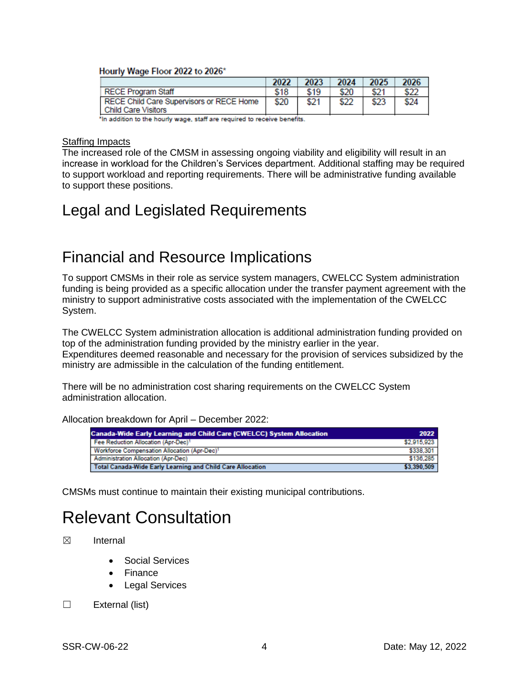#### Hourly Wage Floor 2022 to 2026\*

|                                                                        | 2022 | 2023 | 2024 | 2025 | 2026 |
|------------------------------------------------------------------------|------|------|------|------|------|
| <b>RECE Program Staff</b>                                              | \$18 | \$19 | \$20 | \$21 | \$22 |
| RECE Child Care Supervisors or RECE Home<br><b>Child Care Visitors</b> | \$20 | \$21 | \$22 | \$23 | \$24 |

'In addition to the hourly wage, staff are required to receive benefits.

#### **Staffing Impacts**

The increased role of the CMSM in assessing ongoing viability and eligibility will result in an increase in workload for the Children's Services department. Additional staffing may be required to support workload and reporting requirements. There will be administrative funding available to support these positions.

## Legal and Legislated Requirements

### Financial and Resource Implications

To support CMSMs in their role as service system managers, CWELCC System administration funding is being provided as a specific allocation under the transfer payment agreement with the ministry to support administrative costs associated with the implementation of the CWELCC System.

The CWELCC System administration allocation is additional administration funding provided on top of the administration funding provided by the ministry earlier in the year. Expenditures deemed reasonable and necessary for the provision of services subsidized by the ministry are admissible in the calculation of the funding entitlement.

There will be no administration cost sharing requirements on the CWELCC System administration allocation.

Allocation breakdown for April – December 2022:

| <b>Canada-Wide Early Learning and Child Care (CWELCC) System Allocation</b> |             |  |
|-----------------------------------------------------------------------------|-------------|--|
| Fee Reduction Allocation (Apr-Dec) <sup>1</sup>                             | \$2,915,923 |  |
| Workforce Compensation Allocation (Apr-Dec) <sup>1</sup>                    | \$338.301   |  |
| <b>Administration Allocation (Apr-Dec)</b>                                  | \$136,285   |  |
| Total Canada-Wide Early Learning and Child Care Allocation                  | \$3,390,509 |  |

CMSMs must continue to maintain their existing municipal contributions.

# Relevant Consultation

- ☒ Internal
	- Social Services
	- Finance
	- Legal Services
- ☐ External (list)